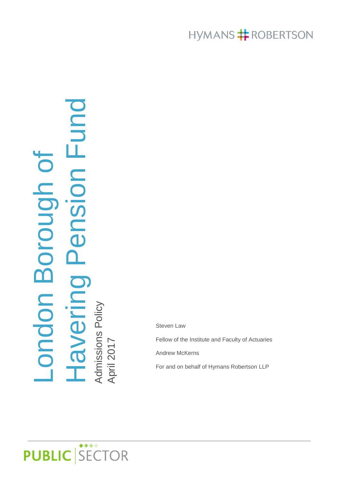# HYMANS **#** ROBERTSON

# Havering Pension Fund pan Fundienspe pr London Borough of<br>Havering Pension Fu London Borough of Admissions Policy

Fellow of the Institute and Faculty of Actuaries Andrew McKerns

Steven Law

For and on behalf of Hymans Robertson LLP

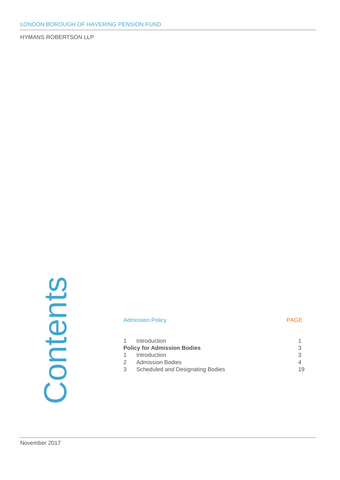# Contents

#### Admission Policy **PAGE**

| 3                                                                                                                                  |
|------------------------------------------------------------------------------------------------------------------------------------|
|                                                                                                                                    |
| 19                                                                                                                                 |
| 1 Introduction<br><b>Policy for Admission Bodies</b><br>1 Introduction<br>2 Admission Bodies<br>3 Scheduled and Designating Bodies |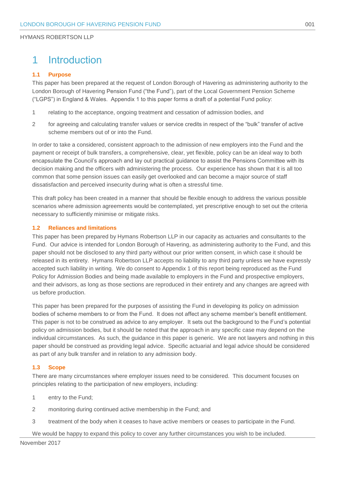# <span id="page-2-0"></span>1 Introduction

#### **1.1 Purpose**

This paper has been prepared at the request of London Borough of Havering as administering authority to the London Borough of Havering Pension Fund ("the Fund"), part of the Local Government Pension Scheme ("LGPS") in England & Wales. Appendix 1 to this paper forms a draft of a potential Fund policy:

- 1 relating to the acceptance, ongoing treatment and cessation of admission bodies, and
- 2 for agreeing and calculating transfer values or service credits in respect of the "bulk" transfer of active scheme members out of or into the Fund.

In order to take a considered, consistent approach to the admission of new employers into the Fund and the payment or receipt of bulk transfers, a comprehensive, clear, yet flexible, policy can be an ideal way to both encapsulate the Council's approach and lay out practical guidance to assist the Pensions Committee with its decision making and the officers with administering the process. Our experience has shown that it is all too common that some pension issues can easily get overlooked and can become a major source of staff dissatisfaction and perceived insecurity during what is often a stressful time.

This draft policy has been created in a manner that should be flexible enough to address the various possible scenarios where admission agreements would be contemplated, yet prescriptive enough to set out the criteria necessary to sufficiently minimise or mitigate risks.

#### **1.2 Reliances and limitations**

This paper has been prepared by Hymans Robertson LLP in our capacity as actuaries and consultants to the Fund. Our advice is intended for London Borough of Havering, as administering authority to the Fund, and this paper should not be disclosed to any third party without our prior written consent, in which case it should be released in its entirety. Hymans Robertson LLP accepts no liability to any third party unless we have expressly accepted such liability in writing. We do consent to Appendix 1 of this report being reproduced as the Fund Policy for Admission Bodies and being made available to employers in the Fund and prospective employers, and their advisors, as long as those sections are reproduced in their entirety and any changes are agreed with us before production.

This paper has been prepared for the purposes of assisting the Fund in developing its policy on admission bodies of scheme members to or from the Fund. It does not affect any scheme member's benefit entitlement. This paper is not to be construed as advice to any employer. It sets out the background to the Fund's potential policy on admission bodies, but it should be noted that the approach in any specific case may depend on the individual circumstances. As such, the guidance in this paper is generic. We are not lawyers and nothing in this paper should be construed as providing legal advice. Specific actuarial and legal advice should be considered as part of any bulk transfer and in relation to any admission body.

#### **1.3 Scope**

There are many circumstances where employer issues need to be considered. This document focuses on principles relating to the participation of new employers, including:

- 1 entry to the Fund;
- 2 monitoring during continued active membership in the Fund; and
- 3 treatment of the body when it ceases to have active members or ceases to participate in the Fund.

We would be happy to expand this policy to cover any further circumstances you wish to be included.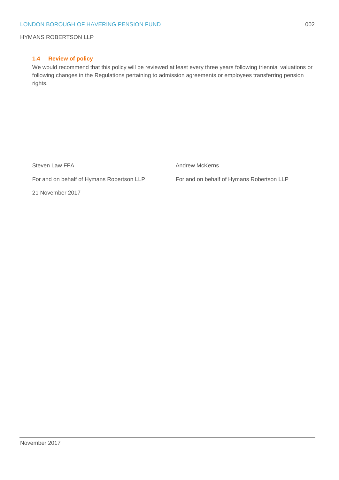#### **1.4 Review of policy**

We would recommend that this policy will be reviewed at least every three years following triennial valuations or following changes in the Regulations pertaining to admission agreements or employees transferring pension rights.

Steven Law FFA **Andrew McKerns** Andrew McKerns

For and on behalf of Hymans Robertson LLP For and on behalf of Hymans Robertson LLP

21 November 2017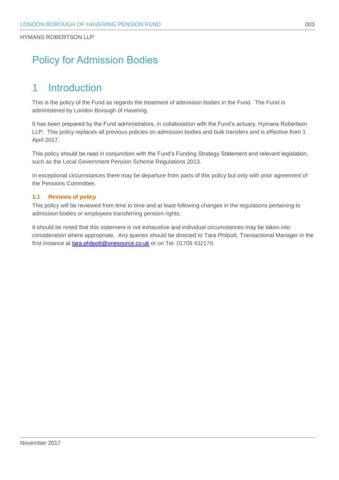# <span id="page-4-0"></span>Policy for Admission Bodies

# <span id="page-4-1"></span>1 Introduction

This is the policy of the Fund as regards the treatment of admission bodies in the Fund. The Fund is administered by London Borough of Havering.

It has been prepared by the Fund administrators, in collaboration with the Fund's actuary, Hymans Robertson LLP. This policy replaces all previous policies on admission bodies and bulk transfers and is effective from 1 April 2017.

This policy should be read in conjunction with the Fund's Funding Strategy Statement and relevant legislation, such as the Local Government Pension Scheme Regulations 2013.

In exceptional circumstances there may be departure from parts of this policy but only with prior agreement of the Pensions Committee.

#### **1.1 Reviews of policy**

This policy will be reviewed from time to time and at least following changes in the regulations pertaining to admission bodies or employees transferring pension rights.

It should be noted that this statement is not exhaustive and individual circumstances may be taken into consideration where appropriate. Any queries should be directed to Tara Philpott, Transactional Manager in the first instance at **tara.philpott@onesource.co.uk** or on Tel. 01708 432179.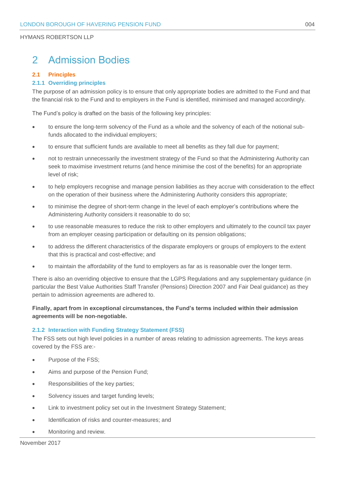# <span id="page-5-0"></span>2 Admission Bodies

#### **2.1 Principles**

#### **2.1.1 Overriding principles**

The purpose of an admission policy is to ensure that only appropriate bodies are admitted to the Fund and that the financial risk to the Fund and to employers in the Fund is identified, minimised and managed accordingly.

The Fund's policy is drafted on the basis of the following key principles:

- to ensure the long-term solvency of the Fund as a whole and the solvency of each of the notional subfunds allocated to the individual employers;
- to ensure that sufficient funds are available to meet all benefits as they fall due for payment;
- not to restrain unnecessarily the investment strategy of the Fund so that the Administering Authority can seek to maximise investment returns (and hence minimise the cost of the benefits) for an appropriate level of risk;
- to help employers recognise and manage pension liabilities as they accrue with consideration to the effect on the operation of their business where the Administering Authority considers this appropriate;
- to minimise the degree of short-term change in the level of each employer's contributions where the Administering Authority considers it reasonable to do so;
- to use reasonable measures to reduce the risk to other employers and ultimately to the council tax payer from an employer ceasing participation or defaulting on its pension obligations;
- to address the different characteristics of the disparate employers or groups of employers to the extent that this is practical and cost-effective; and
- to maintain the affordability of the fund to employers as far as is reasonable over the longer term.

There is also an overriding objective to ensure that the LGPS Regulations and any supplementary guidance (in particular the Best Value Authorities Staff Transfer (Pensions) Direction 2007 and Fair Deal guidance) as they pertain to admission agreements are adhered to.

#### **Finally, apart from in exceptional circumstances, the Fund's terms included within their admission agreements will be non-negotiable.**

#### **2.1.2 Interaction with Funding Strategy Statement (FSS)**

The FSS sets out high level policies in a number of areas relating to admission agreements. The keys areas covered by the FSS are:-

- Purpose of the FSS;
- Aims and purpose of the Pension Fund;
- Responsibilities of the key parties;
- Solvency issues and target funding levels;
- Link to investment policy set out in the Investment Strategy Statement;
- Identification of risks and counter-measures; and
- Monitoring and review.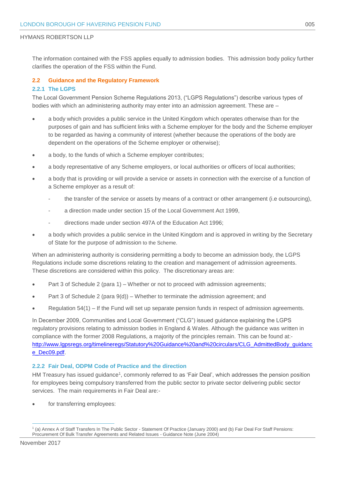The information contained with the FSS applies equally to admission bodies. This admission body policy further clarifies the operation of the FSS within the Fund.

#### **2.2 Guidance and the Regulatory Framework**

#### **2.2.1 The LGPS**

The Local Government Pension Scheme Regulations 2013, ("LGPS Regulations") describe various types of bodies with which an administering authority may enter into an admission agreement. These are -

- a body which provides a public service in the United Kingdom which operates otherwise than for the purposes of gain and has sufficient links with a Scheme employer for the body and the Scheme employer to be regarded as having a community of interest (whether because the operations of the body are dependent on the operations of the Scheme employer or otherwise);
- a body, to the funds of which a Scheme employer contributes;
- a body representative of any Scheme employers, or local authorities or officers of local authorities;
- a body that is providing or will provide a service or assets in connection with the exercise of a function of a Scheme employer as a result of:
	- the transfer of the service or assets by means of a contract or other arrangement (i.e outsourcing),
	- a direction made under section 15 of the Local Government Act 1999,
	- directions made under section 497A of the Education Act 1996;
- a body which provides a public service in the United Kingdom and is approved in writing by the Secretary of State for the purpose of admission to the Scheme.

When an administering authority is considering permitting a body to become an admission body, the LGPS Regulations include some discretions relating to the creation and management of admission agreements. These discretions are considered within this policy. The discretionary areas are:

- Part 3 of Schedule 2 (para 1) Whether or not to proceed with admission agreements;
- Part 3 of Schedule 2 (para 9(d)) Whether to terminate the admission agreement; and
- Regulation 54(1) If the Fund will set up separate pension funds in respect of admission agreements.

In December 2009, Communities and Local Government ("CLG") issued guidance explaining the LGPS regulatory provisions relating to admission bodies in England & Wales. Although the guidance was written in compliance with the former 2008 Regulations, a majority of the principles remain. This can be found at: [http://www.lgpsregs.org/timelineregs/Statutory%20Guidance%20and%20circulars/CLG\\_AdmittedBody\\_guidanc](http://www.lgpsregs.org/timelineregs/Statutory%20Guidance%20and%20circulars/CLG_AdmittedBody_guidance_Dec09.pdf) [e\\_Dec09.pdf.](http://www.lgpsregs.org/timelineregs/Statutory%20Guidance%20and%20circulars/CLG_AdmittedBody_guidance_Dec09.pdf)

#### **2.2.2 Fair Deal, ODPM Code of Practice and the direction**

HM Treasury has issued guidance<sup>1</sup>, commonly referred to as 'Fair Deal', which addresses the pension position for employees being compulsory transferred from the public sector to private sector delivering public sector services. The main requirements in Fair Deal are:-

for transferring employees:

1

<sup>1</sup> (a) Annex A of Staff Transfers In The Public Sector - Statement Of Practice (January 2000) and (b) Fair Deal For Staff Pensions: Procurement Of Bulk Transfer Agreements and Related Issues - Guidance Note (June 2004)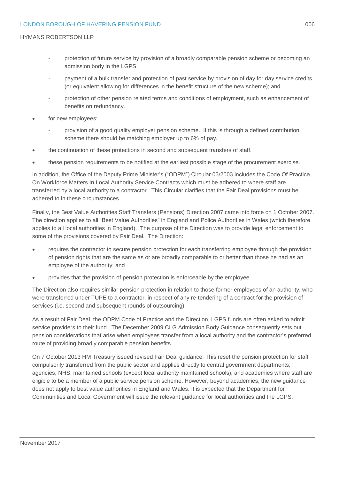- protection of future service by provision of a broadly comparable pension scheme or becoming an admission body in the LGPS;
- payment of a bulk transfer and protection of past service by provision of day for day service credits (or equivalent allowing for differences in the benefit structure of the new scheme); and
- protection of other pension related terms and conditions of employment, such as enhancement of benefits on redundancy.
- for new employees:
	- provision of a good quality employer pension scheme. If this is through a defined contribution scheme there should be matching employer up to 6% of pay.
- the continuation of these protections in second and subsequent transfers of staff.
- these pension requirements to be notified at the earliest possible stage of the procurement exercise.

In addition, the Office of the Deputy Prime Minister's ("ODPM") Circular 03/2003 includes the Code Of Practice On Workforce Matters In Local Authority Service Contracts which must be adhered to where staff are transferred by a local authority to a contractor. This Circular clarifies that the Fair Deal provisions must be adhered to in these circumstances.

Finally, the Best Value Authorities Staff Transfers (Pensions) Direction 2007 came into force on 1 October 2007. The direction applies to all "Best Value Authorities" in England and Police Authorities in Wales (which therefore applies to all local authorities in England). The purpose of the Direction was to provide legal enforcement to some of the provisions covered by Fair Deal. The Direction:

- requires the contractor to secure pension protection for each transferring employee through the provision of pension rights that are the same as or are broadly comparable to or better than those he had as an employee of the authority; and
- provides that the provision of pension protection is enforceable by the employee.

The Direction also requires similar pension protection in relation to those former employees of an authority, who were transferred under TUPE to a contractor, in respect of any re-tendering of a contract for the provision of services (i.e. second and subsequent rounds of outsourcing).

As a result of Fair Deal, the ODPM Code of Practice and the Direction, LGPS funds are often asked to admit service providers to their fund. The December 2009 CLG Admission Body Guidance consequently sets out pension considerations that arise when employees transfer from a local authority and the contractor's preferred route of providing broadly comparable pension benefits.

On 7 October 2013 HM Treasury issued revised Fair Deal guidance. This reset the pension protection for staff compulsorily transferred from the public sector and applies directly to central government departments, agencies, NHS, maintained schools (except local authority maintained schools), and academies where staff are eligible to be a member of a public service pension scheme. However, beyond academies, the new guidance does not apply to best value authorities in England and Wales. It is expected that the Department for Communities and Local Government will issue the relevant guidance for local authorities and the LGPS.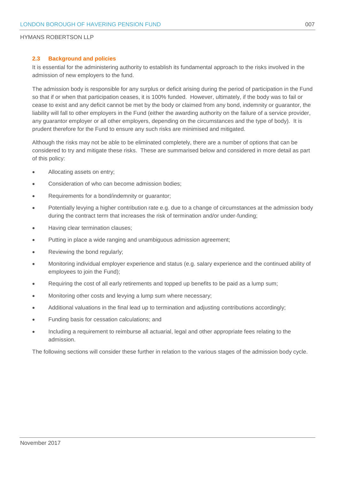#### **2.3 Background and policies**

It is essential for the administering authority to establish its fundamental approach to the risks involved in the admission of new employers to the fund.

The admission body is responsible for any surplus or deficit arising during the period of participation in the Fund so that if or when that participation ceases, it is 100% funded. However, ultimately, if the body was to fail or cease to exist and any deficit cannot be met by the body or claimed from any bond, indemnity or guarantor, the liability will fall to other employers in the Fund (either the awarding authority on the failure of a service provider, any guarantor employer or all other employers, depending on the circumstances and the type of body). It is prudent therefore for the Fund to ensure any such risks are minimised and mitigated.

Although the risks may not be able to be eliminated completely, there are a number of options that can be considered to try and mitigate these risks. These are summarised below and considered in more detail as part of this policy:

- Allocating assets on entry;
- Consideration of who can become admission bodies;
- Requirements for a bond/indemnity or guarantor;
- Potentially levying a higher contribution rate e.g. due to a change of circumstances at the admission body during the contract term that increases the risk of termination and/or under-funding;
- Having clear termination clauses;
- Putting in place a wide ranging and unambiguous admission agreement;
- Reviewing the bond regularly;
- Monitoring individual employer experience and status (e.g. salary experience and the continued ability of employees to join the Fund);
- Requiring the cost of all early retirements and topped up benefits to be paid as a lump sum;
- Monitoring other costs and levying a lump sum where necessary;
- Additional valuations in the final lead up to termination and adjusting contributions accordingly;
- Funding basis for cessation calculations; and
- Including a requirement to reimburse all actuarial, legal and other appropriate fees relating to the admission.

The following sections will consider these further in relation to the various stages of the admission body cycle.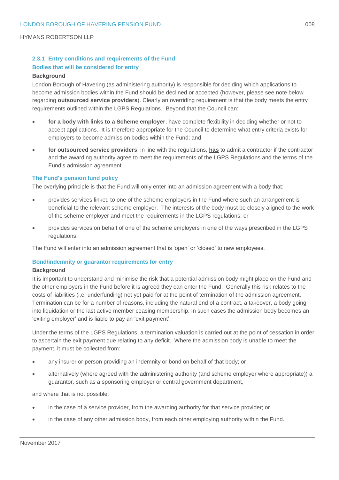#### **2.3.1 Entry conditions and requirements of the Fund Bodies that will be considered for entry**

#### **Background**

London Borough of Havering (as administering authority) is responsible for deciding which applications to become admission bodies within the Fund should be declined or accepted (however, please see note below regarding **outsourced service providers**). Clearly an overriding requirement is that the body meets the entry requirements outlined within the LGPS Regulations. Beyond that the Council can:

- **for a body with links to a Scheme employer**, have complete flexibility in deciding whether or not to accept applications. It is therefore appropriate for the Council to determine what entry criteria exists for employers to become admission bodies within the Fund; and
- **for outsourced service providers**, in line with the regulations, **has** to admit a contractor if the contractor and the awarding authority agree to meet the requirements of the LGPS Regulations and the terms of the Fund's admission agreement.

#### **The Fund's pension fund policy**

The overlying principle is that the Fund will only enter into an admission agreement with a body that:

- provides services linked to one of the scheme employers in the Fund where such an arrangement is beneficial to the relevant scheme employer. The interests of the body must be closely aligned to the work of the scheme employer and meet the requirements in the LGPS regulations; or
- provides services on behalf of one of the scheme employers in one of the ways prescribed in the LGPS regulations.

The Fund will enter into an admission agreement that is 'open' or 'closed' to new employees.

#### **Bond/indemnity or guarantor requirements for entry**

#### **Background**

It is important to understand and minimise the risk that a potential admission body might place on the Fund and the other employers in the Fund before it is agreed they can enter the Fund. Generally this risk relates to the costs of liabilities (i.e. underfunding) not yet paid for at the point of termination of the admission agreement. Termination can be for a number of reasons, including the natural end of a contract, a takeover, a body going into liquidation or the last active member ceasing membership. In such cases the admission body becomes an 'exiting employer' and is liable to pay an 'exit payment'.

Under the terms of the LGPS Regulations, a termination valuation is carried out at the point of cessation in order to ascertain the exit payment due relating to any deficit. Where the admission body is unable to meet the payment, it must be collected from:

- any insurer or person providing an indemnity or bond on behalf of that body; or
- alternatively (where agreed with the administering authority (and scheme employer where appropriate)) a guarantor, such as a sponsoring employer or central government department,

and where that is not possible:

- in the case of a service provider, from the awarding authority for that service provider; or
- in the case of any other admission body, from each other employing authority within the Fund.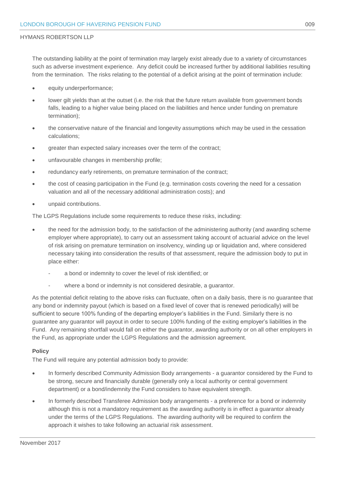The outstanding liability at the point of termination may largely exist already due to a variety of circumstances such as adverse investment experience. Any deficit could be increased further by additional liabilities resulting from the termination. The risks relating to the potential of a deficit arising at the point of termination include:

- equity underperformance;
- lower gilt yields than at the outset (i.e. the risk that the future return available from government bonds falls, leading to a higher value being placed on the liabilities and hence under funding on premature termination);
- the conservative nature of the financial and longevity assumptions which may be used in the cessation calculations;
- greater than expected salary increases over the term of the contract;
- unfavourable changes in membership profile;
- redundancy early retirements, on premature termination of the contract;
- the cost of ceasing participation in the Fund (e.g. termination costs covering the need for a cessation valuation and all of the necessary additional administration costs); and
- unpaid contributions.

The LGPS Regulations include some requirements to reduce these risks, including:

- the need for the admission body, to the satisfaction of the administering authority (and awarding scheme employer where appropriate), to carry out an assessment taking account of actuarial advice on the level of risk arising on premature termination on insolvency, winding up or liquidation and, where considered necessary taking into consideration the results of that assessment, require the admission body to put in place either:
	- a bond or indemnity to cover the level of risk identified; or
	- where a bond or indemnity is not considered desirable, a quarantor.

As the potential deficit relating to the above risks can fluctuate, often on a daily basis, there is no guarantee that any bond or indemnity payout (which is based on a fixed level of cover that is renewed periodically) will be sufficient to secure 100% funding of the departing employer's liabilities in the Fund. Similarly there is no guarantee any guarantor will payout in order to secure 100% funding of the exiting employer's liabilities in the Fund. Any remaining shortfall would fall on either the guarantor, awarding authority or on all other employers in the Fund, as appropriate under the LGPS Regulations and the admission agreement.

#### **Policy**

The Fund will require any potential admission body to provide:

- In formerly described Community Admission Body arrangements a guarantor considered by the Fund to be strong, secure and financially durable (generally only a local authority or central government department) or a bond/indemnity the Fund considers to have equivalent strength.
- In formerly described Transferee Admission body arrangements a preference for a bond or indemnity although this is not a mandatory requirement as the awarding authority is in effect a guarantor already under the terms of the LGPS Regulations. The awarding authority will be required to confirm the approach it wishes to take following an actuarial risk assessment.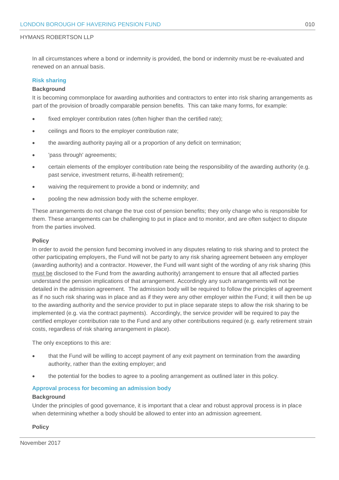In all circumstances where a bond or indemnity is provided, the bond or indemnity must be re-evaluated and renewed on an annual basis.

#### **Risk sharing**

#### **Background**

It is becoming commonplace for awarding authorities and contractors to enter into risk sharing arrangements as part of the provision of broadly comparable pension benefits. This can take many forms, for example:

- fixed employer contribution rates (often higher than the certified rate);
- ceilings and floors to the employer contribution rate;
- the awarding authority paying all or a proportion of any deficit on termination;
- 'pass through' agreements;
- certain elements of the employer contribution rate being the responsibility of the awarding authority (e.g. past service, investment returns, ill-health retirement);
- waiving the requirement to provide a bond or indemnity; and
- pooling the new admission body with the scheme employer.

These arrangements do not change the true cost of pension benefits; they only change who is responsible for them. These arrangements can be challenging to put in place and to monitor, and are often subject to dispute from the parties involved.

#### **Policy**

In order to avoid the pension fund becoming involved in any disputes relating to risk sharing and to protect the other participating employers, the Fund will not be party to any risk sharing agreement between any employer (awarding authority) and a contractor. However, the Fund will want sight of the wording of any risk sharing (this must be disclosed to the Fund from the awarding authority) arrangement to ensure that all affected parties understand the pension implications of that arrangement. Accordingly any such arrangements will not be detailed in the admission agreement. The admission body will be required to follow the principles of agreement as if no such risk sharing was in place and as if they were any other employer within the Fund; it will then be up to the awarding authority and the service provider to put in place separate steps to allow the risk sharing to be implemented (e.g. via the contract payments). Accordingly, the service provider will be required to pay the certified employer contribution rate to the Fund and any other contributions required (e.g. early retirement strain costs, regardless of risk sharing arrangement in place).

The only exceptions to this are:

- that the Fund will be willing to accept payment of any exit payment on termination from the awarding authority, rather than the exiting employer; and
- the potential for the bodies to agree to a pooling arrangement as outlined later in this policy.

#### **Approval process for becoming an admission body**

#### **Background**

Under the principles of good governance, it is important that a clear and robust approval process is in place when determining whether a body should be allowed to enter into an admission agreement.

#### **Policy**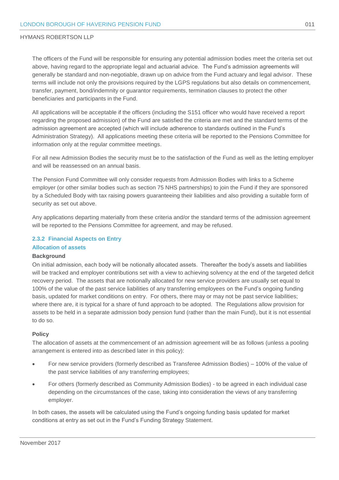The officers of the Fund will be responsible for ensuring any potential admission bodies meet the criteria set out above, having regard to the appropriate legal and actuarial advice. The Fund's admission agreements will generally be standard and non-negotiable, drawn up on advice from the Fund actuary and legal advisor. These terms will include not only the provisions required by the LGPS regulations but also details on commencement, transfer, payment, bond/indemnity or guarantor requirements, termination clauses to protect the other beneficiaries and participants in the Fund.

All applications will be acceptable if the officers (including the S151 officer who would have received a report regarding the proposed admission) of the Fund are satisfied the criteria are met and the standard terms of the admission agreement are accepted (which will include adherence to standards outlined in the Fund's Administration Strategy). All applications meeting these criteria will be reported to the Pensions Committee for information only at the regular committee meetings.

For all new Admission Bodies the security must be to the satisfaction of the Fund as well as the letting employer and will be reassessed on an annual basis.

The Pension Fund Committee will only consider requests from Admission Bodies with links to a Scheme employer (or other similar bodies such as section 75 NHS partnerships) to join the Fund if they are sponsored by a Scheduled Body with tax raising powers guaranteeing their liabilities and also providing a suitable form of security as set out above.

Any applications departing materially from these criteria and/or the standard terms of the admission agreement will be reported to the Pensions Committee for agreement, and may be refused.

#### **2.3.2 Financial Aspects on Entry Allocation of assets**

### **Background**

On initial admission, each body will be notionally allocated assets. Thereafter the body's assets and liabilities will be tracked and employer contributions set with a view to achieving solvency at the end of the targeted deficit recovery period. The assets that are notionally allocated for new service providers are usually set equal to 100% of the value of the past service liabilities of any transferring employees on the Fund's ongoing funding basis, updated for market conditions on entry. For others, there may or may not be past service liabilities; where there are, it is typical for a share of fund approach to be adopted. The Regulations allow provision for assets to be held in a separate admission body pension fund (rather than the main Fund), but it is not essential to do so.

#### **Policy**

The allocation of assets at the commencement of an admission agreement will be as follows (unless a pooling arrangement is entered into as described later in this policy):

- For new service providers (formerly described as Transferee Admission Bodies) 100% of the value of the past service liabilities of any transferring employees;
- For others (formerly described as Community Admission Bodies) to be agreed in each individual case depending on the circumstances of the case, taking into consideration the views of any transferring employer.

In both cases, the assets will be calculated using the Fund's ongoing funding basis updated for market conditions at entry as set out in the Fund's Funding Strategy Statement.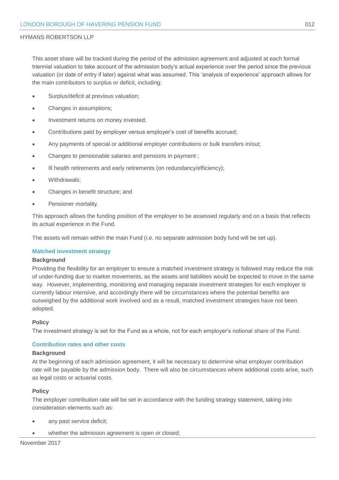This asset share will be tracked during the period of the admission agreement and adjusted at each formal triennial valuation to take account of the admission body's actual experience over the period since the previous valuation (or date of entry if later) against what was assumed. This 'analysis of experience' approach allows for the main contributors to surplus or deficit, including:

- Surplus/deficit at previous valuation;
- Changes in assumptions;
- Investment returns on money invested;
- Contributions paid by employer versus employer's cost of benefits accrued;
- Any payments of special or additional employer contributions or bulk transfers in/out;
- Changes to pensionable salaries and pensions in payment ;
- Ill health retirements and early retirements (on redundancy/efficiency);
- Withdrawals;
- Changes in benefit structure; and
- Pensioner mortality.

This approach allows the funding position of the employer to be assessed regularly and on a basis that reflects its actual experience in the Fund.

The assets will remain within the main Fund (i.e. no separate admission body fund will be set up).

#### **Matched investment strategy**

#### **Background**

Providing the flexibility for an employer to ensure a matched investment strategy is followed may reduce the risk of under-funding due to market movements, as the assets and liabilities would be expected to move in the same way. However, implementing, monitoring and managing separate investment strategies for each employer is currently labour intensive, and accordingly there will be circumstances where the potential benefits are outweighed by the additional work involved and as a result, matched investment strategies have not been adopted.

#### **Policy**

The investment strategy is set for the Fund as a whole, not for each employer's notional share of the Fund.

#### **Contribution rates and other costs**

#### **Background**

At the beginning of each admission agreement, it will be necessary to determine what employer contribution rate will be payable by the admission body. There will also be circumstances where additional costs arise, such as legal costs or actuarial costs.

#### **Policy**

The employer contribution rate will be set in accordance with the funding strategy statement, taking into consideration elements such as:

- any past service deficit;
- whether the admission agreement is open or closed;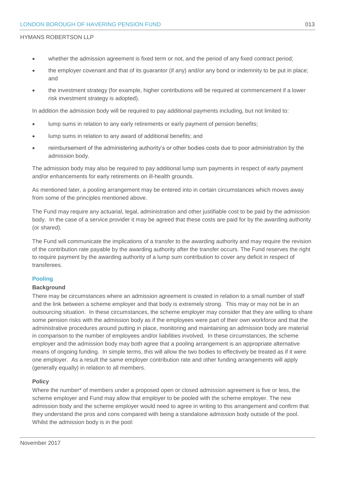- whether the admission agreement is fixed term or not, and the period of any fixed contract period;
- the employer covenant and that of its guarantor (if any) and/or any bond or indemnity to be put in place; and
- the investment strategy (for example, higher contributions will be required at commencement if a lower risk investment strategy is adopted).

In addition the admission body will be required to pay additional payments including, but not limited to:

- lump sums in relation to any early retirements or early payment of pension benefits;
- lump sums in relation to any award of additional benefits; and
- reimbursement of the administering authority's or other bodies costs due to poor administration by the admission body.

The admission body may also be required to pay additional lump sum payments in respect of early payment and/or enhancements for early retirements on ill-health grounds.

As mentioned later, a pooling arrangement may be entered into in certain circumstances which moves away from some of the principles mentioned above.

The Fund may require any actuarial, legal, administration and other justifiable cost to be paid by the admission body. In the case of a service provider it may be agreed that these costs are paid for by the awarding authority (or shared).

The Fund will communicate the implications of a transfer to the awarding authority and may require the revision of the contribution rate payable by the awarding authority after the transfer occurs. The Fund reserves the right to require payment by the awarding authority of a lump sum contribution to cover any deficit in respect of transferees.

#### **Pooling**

#### **Background**

There may be circumstances where an admission agreement is created in relation to a small number of staff and the link between a scheme employer and that body is extremely strong. This may or may not be in an outsourcing situation. In these circumstances, the scheme employer may consider that they are willing to share some pension risks with the admission body as if the employees were part of their own workforce and that the administrative procedures around putting in place, monitoring and maintaining an admission body are material in comparison to the number of employees and/or liabilities involved. In these circumstances, the scheme employer and the admission body may both agree that a pooling arrangement is an appropriate alternative means of ongoing funding. In simple terms, this will allow the two bodies to effectively be treated as if it were one employer. As a result the same employer contribution rate and other funding arrangements will apply (generally equally) in relation to all members.

#### **Policy**

Where the number<sup>\*</sup> of members under a proposed open or closed admission agreement is five or less, the scheme employer and Fund may allow that employer to be pooled with the scheme employer. The new admission body and the scheme employer would need to agree in writing to this arrangement and confirm that they understand the pros and cons compared with being a standalone admission body outside of the pool. Whilst the admission body is in the pool: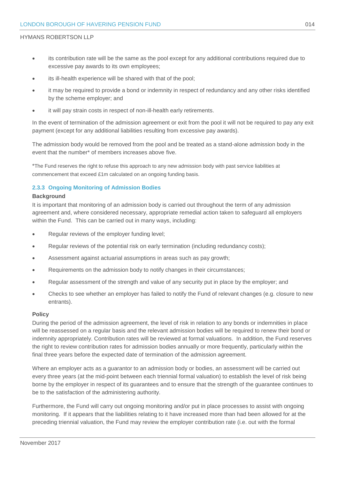- its contribution rate will be the same as the pool except for any additional contributions required due to excessive pay awards to its own employees;
- its ill-health experience will be shared with that of the pool;
- it may be required to provide a bond or indemnity in respect of redundancy and any other risks identified by the scheme employer; and
- it will pay strain costs in respect of non-ill-health early retirements.

In the event of termination of the admission agreement or exit from the pool it will not be required to pay any exit payment (except for any additional liabilities resulting from excessive pay awards).

The admission body would be removed from the pool and be treated as a stand-alone admission body in the event that the number\* of members increases above five.

\*The Fund reserves the right to refuse this approach to any new admission body with past service liabilities at commencement that exceed £1m calculated on an ongoing funding basis.

#### **2.3.3 Ongoing Monitoring of Admission Bodies**

#### **Background**

It is important that monitoring of an admission body is carried out throughout the term of any admission agreement and, where considered necessary, appropriate remedial action taken to safeguard all employers within the Fund. This can be carried out in many ways, including:

- Regular reviews of the employer funding level;
- Regular reviews of the potential risk on early termination (including redundancy costs);
- Assessment against actuarial assumptions in areas such as pay growth;
- Requirements on the admission body to notify changes in their circumstances;
- Regular assessment of the strength and value of any security put in place by the employer; and
- Checks to see whether an employer has failed to notify the Fund of relevant changes (e.g. closure to new entrants).

#### **Policy**

During the period of the admission agreement, the level of risk in relation to any bonds or indemnities in place will be reassessed on a regular basis and the relevant admission bodies will be required to renew their bond or indemnity appropriately. Contribution rates will be reviewed at formal valuations. In addition, the Fund reserves the right to review contribution rates for admission bodies annually or more frequently, particularly within the final three years before the expected date of termination of the admission agreement.

Where an employer acts as a guarantor to an admission body or bodies, an assessment will be carried out every three years (at the mid-point between each triennial formal valuation) to establish the level of risk being borne by the employer in respect of its guarantees and to ensure that the strength of the guarantee continues to be to the satisfaction of the administering authority.

Furthermore, the Fund will carry out ongoing monitoring and/or put in place processes to assist with ongoing monitoring. If it appears that the liabilities relating to it have increased more than had been allowed for at the preceding triennial valuation, the Fund may review the employer contribution rate (i.e. out with the formal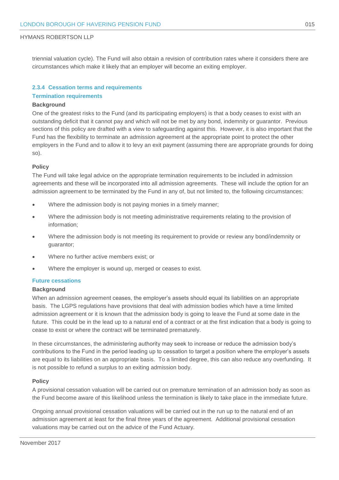triennial valuation cycle). The Fund will also obtain a revision of contribution rates where it considers there are circumstances which make it likely that an employer will become an exiting employer.

#### **2.3.4 Cessation terms and requirements**

#### **Termination requirements**

#### **Background**

One of the greatest risks to the Fund (and its participating employers) is that a body ceases to exist with an outstanding deficit that it cannot pay and which will not be met by any bond, indemnity or guarantor. Previous sections of this policy are drafted with a view to safeguarding against this. However, it is also important that the Fund has the flexibility to terminate an admission agreement at the appropriate point to protect the other employers in the Fund and to allow it to levy an exit payment (assuming there are appropriate grounds for doing so).

#### **Policy**

The Fund will take legal advice on the appropriate termination requirements to be included in admission agreements and these will be incorporated into all admission agreements. These will include the option for an admission agreement to be terminated by the Fund in any of, but not limited to, the following circumstances:

- Where the admission body is not paying monies in a timely manner;
- Where the admission body is not meeting administrative requirements relating to the provision of information;
- Where the admission body is not meeting its requirement to provide or review any bond/indemnity or guarantor;
- Where no further active members exist; or
- Where the employer is wound up, merged or ceases to exist.

#### **Future cessations**

#### **Background**

When an admission agreement ceases, the employer's assets should equal its liabilities on an appropriate basis. The LGPS regulations have provisions that deal with admission bodies which have a time limited admission agreement or it is known that the admission body is going to leave the Fund at some date in the future. This could be in the lead up to a natural end of a contract or at the first indication that a body is going to cease to exist or where the contract will be terminated prematurely.

In these circumstances, the administering authority may seek to increase or reduce the admission body's contributions to the Fund in the period leading up to cessation to target a position where the employer's assets are equal to its liabilities on an appropriate basis. To a limited degree, this can also reduce any overfunding. It is not possible to refund a surplus to an exiting admission body.

#### **Policy**

A provisional cessation valuation will be carried out on premature termination of an admission body as soon as the Fund become aware of this likelihood unless the termination is likely to take place in the immediate future.

Ongoing annual provisional cessation valuations will be carried out in the run up to the natural end of an admission agreement at least for the final three years of the agreement. Additional provisional cessation valuations may be carried out on the advice of the Fund Actuary.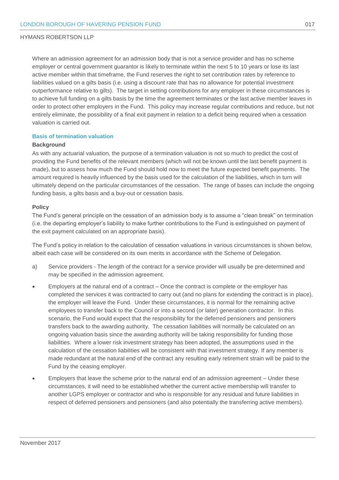Where an admission agreement for an admission body that is not a service provider and has no scheme employer or central government guarantor is likely to terminate within the next 5 to 10 years or lose its last active member within that timeframe, the Fund reserves the right to set contribution rates by reference to liabilities valued on a gilts basis (i.e. using a discount rate that has no allowance for potential investment outperformance relative to gilts). The target in setting contributions for any employer in these circumstances is to achieve full funding on a gilts basis by the time the agreement terminates or the last active member leaves in order to protect other employers in the Fund. This policy may increase regular contributions and reduce, but not entirely eliminate, the possibility of a final exit payment in relation to a deficit being required when a cessation valuation is carried out.

#### **Basis of termination valuation**

#### **Background**

As with any actuarial valuation, the purpose of a termination valuation is not so much to predict the cost of providing the Fund benefits of the relevant members (which will not be known until the last benefit payment is made), but to assess how much the Fund should hold now to meet the future expected benefit payments. The amount required is heavily influenced by the basis used for the calculation of the liabilities, which in turn will ultimately depend on the particular circumstances of the cessation. The range of bases can include the ongoing funding basis, a gilts basis and a buy-out or cessation basis.

#### **Policy**

The Fund's general principle on the cessation of an admission body is to assume a "clean break" on termination (i.e. the departing employer's liability to make further contributions to the Fund is extinguished on payment of the exit payment calculated on an appropriate basis).

The Fund's policy in relation to the calculation of cessation valuations in various circumstances is shown below, albeit each case will be considered on its own merits in accordance with the Scheme of Delegation.

- a) Service providers The length of the contract for a service provider will usually be pre-determined and may be specified in the admission agreement.
- Employers at the natural end of a contract Once the contract is complete or the employer has completed the services it was contracted to carry out (and no plans for extending the contract is in place), the employer will leave the Fund. Under these circumstances, it is normal for the remaining active employees to transfer back to the Council or into a second (or later) generation contractor. In this scenario, the Fund would expect that the responsibility for the deferred pensioners and pensioners transfers back to the awarding authority. The cessation liabilities will normally be calculated on an ongoing valuation basis since the awarding authority will be taking responsibility for funding those liabilities. Where a lower risk investment strategy has been adopted, the assumptions used in the calculation of the cessation liabilities will be consistent with that investment strategy. If any member is made redundant at the natural end of the contract any resulting early retirement strain will be paid to the Fund by the ceasing employer.
- Employers that leave the scheme prior to the natural end of an admission agreement Under these circumstances, it will need to be established whether the current active membership will transfer to another LGPS employer or contractor and who is responsible for any residual and future liabilities in respect of deferred pensioners and pensioners (and also potentially the transferring active members).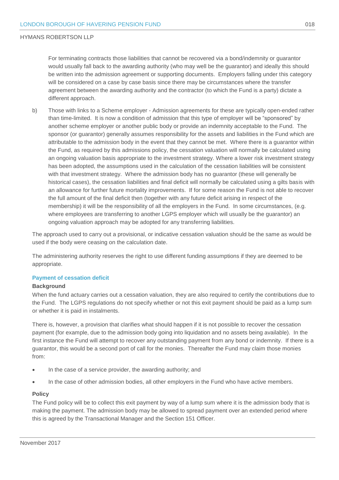For terminating contracts those liabilities that cannot be recovered via a bond/indemnity or guarantor would usually fall back to the awarding authority (who may well be the guarantor) and ideally this should be written into the admission agreement or supporting documents. Employers falling under this category will be considered on a case by case basis since there may be circumstances where the transfer agreement between the awarding authority and the contractor (to which the Fund is a party) dictate a different approach.

b) Those with links to a Scheme employer - Admission agreements for these are typically open-ended rather than time-limited. It is now a condition of admission that this type of employer will be "sponsored" by another scheme employer or another public body or provide an indemnity acceptable to the Fund. The sponsor (or guarantor) generally assumes responsibility for the assets and liabilities in the Fund which are attributable to the admission body in the event that they cannot be met. Where there is a guarantor within the Fund, as required by this admissions policy, the cessation valuation will normally be calculated using an ongoing valuation basis appropriate to the investment strategy. Where a lower risk investment strategy has been adopted, the assumptions used in the calculation of the cessation liabilities will be consistent with that investment strategy. Where the admission body has no guarantor (these will generally be historical cases), the cessation liabilities and final deficit will normally be calculated using a gilts basis with an allowance for further future mortality improvements. If for some reason the Fund is not able to recover the full amount of the final deficit then (together with any future deficit arising in respect of the membership) it will be the responsibility of all the employers in the Fund. In some circumstances, (e.g. where employees are transferring to another LGPS employer which will usually be the guarantor) an ongoing valuation approach may be adopted for any transferring liabilities.

The approach used to carry out a provisional, or indicative cessation valuation should be the same as would be used if the body were ceasing on the calculation date.

The administering authority reserves the right to use different funding assumptions if they are deemed to be appropriate.

#### **Payment of cessation deficit**

#### **Background**

When the fund actuary carries out a cessation valuation, they are also required to certify the contributions due to the Fund. The LGPS regulations do not specify whether or not this exit payment should be paid as a lump sum or whether it is paid in instalments.

There is, however, a provision that clarifies what should happen if it is not possible to recover the cessation payment (for example, due to the admission body going into liquidation and no assets being available). In the first instance the Fund will attempt to recover any outstanding payment from any bond or indemnity. If there is a guarantor, this would be a second port of call for the monies. Thereafter the Fund may claim those monies from:

- In the case of a service provider, the awarding authority; and
- In the case of other admission bodies, all other employers in the Fund who have active members.

#### **Policy**

The Fund policy will be to collect this exit payment by way of a lump sum where it is the admission body that is making the payment. The admission body may be allowed to spread payment over an extended period where this is agreed by the Transactional Manager and the Section 151 Officer.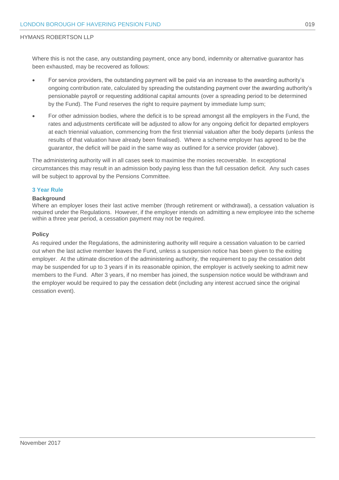Where this is not the case, any outstanding payment, once any bond, indemnity or alternative guarantor has been exhausted, may be recovered as follows:

- For service providers, the outstanding payment will be paid via an increase to the awarding authority's ongoing contribution rate, calculated by spreading the outstanding payment over the awarding authority's pensionable payroll or requesting additional capital amounts (over a spreading period to be determined by the Fund). The Fund reserves the right to require payment by immediate lump sum;
- For other admission bodies, where the deficit is to be spread amongst all the employers in the Fund, the rates and adjustments certificate will be adjusted to allow for any ongoing deficit for departed employers at each triennial valuation, commencing from the first triennial valuation after the body departs (unless the results of that valuation have already been finalised). Where a scheme employer has agreed to be the guarantor, the deficit will be paid in the same way as outlined for a service provider (above).

The administering authority will in all cases seek to maximise the monies recoverable. In exceptional circumstances this may result in an admission body paying less than the full cessation deficit. Any such cases will be subject to approval by the Pensions Committee.

#### **3 Year Rule**

#### **Background**

Where an employer loses their last active member (through retirement or withdrawal), a cessation valuation is required under the Regulations. However, if the employer intends on admitting a new employee into the scheme within a three year period, a cessation payment may not be required.

#### **Policy**

As required under the Regulations, the administering authority will require a cessation valuation to be carried out when the last active member leaves the Fund, unless a suspension notice has been given to the exiting employer. At the ultimate discretion of the administering authority, the requirement to pay the cessation debt may be suspended for up to 3 years if in its reasonable opinion, the employer is actively seeking to admit new members to the Fund. After 3 years, if no member has joined, the suspension notice would be withdrawn and the employer would be required to pay the cessation debt (including any interest accrued since the original cessation event).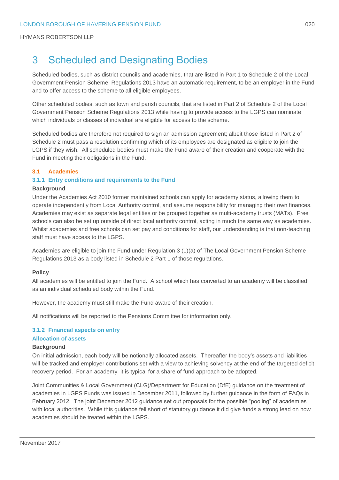# <span id="page-21-0"></span>3 Scheduled and Designating Bodies

Scheduled bodies, such as district councils and academies, that are listed in Part 1 to Schedule 2 of the Local Government Pension Scheme Regulations 2013 have an automatic requirement, to be an employer in the Fund and to offer access to the scheme to all eligible employees.

Other scheduled bodies, such as town and parish councils, that are listed in Part 2 of Schedule 2 of the Local Government Pension Scheme Regulations 2013 while having to provide access to the LGPS can nominate which individuals or classes of individual are eligible for access to the scheme.

Scheduled bodies are therefore not required to sign an admission agreement; albeit those listed in Part 2 of Schedule 2 must pass a resolution confirming which of its employees are designated as eligible to join the LGPS if they wish. All scheduled bodies must make the Fund aware of their creation and cooperate with the Fund in meeting their obligations in the Fund.

#### **3.1 Academies**

#### **3.1.1 Entry conditions and requirements to the Fund**

#### **Background**

Under the Academies Act 2010 former maintained schools can apply for academy status, allowing them to operate independently from Local Authority control, and assume responsibility for managing their own finances. Academies may exist as separate legal entities or be grouped together as multi-academy trusts (MATs). Free schools can also be set up outside of direct local authority control, acting in much the same way as academies. Whilst academies and free schools can set pay and conditions for staff, our understanding is that non-teaching staff must have access to the LGPS.

Academies are eligible to join the Fund under Regulation 3 (1)(a) of The Local Government Pension Scheme Regulations 2013 as a body listed in Schedule 2 Part 1 of those regulations.

#### **Policy**

All academies will be entitled to join the Fund. A school which has converted to an academy will be classified as an individual scheduled body within the Fund.

However, the academy must still make the Fund aware of their creation.

All notifications will be reported to the Pensions Committee for information only.

#### **3.1.2 Financial aspects on entry**

#### **Allocation of assets**

#### **Background**

On initial admission, each body will be notionally allocated assets. Thereafter the body's assets and liabilities will be tracked and employer contributions set with a view to achieving solvency at the end of the targeted deficit recovery period. For an academy, it is typical for a share of fund approach to be adopted.

Joint Communities & Local Government (CLG)/Department for Education (DfE) guidance on the treatment of academies in LGPS Funds was issued in December 2011, followed by further guidance in the form of FAQs in February 2012. The joint December 2012 guidance set out proposals for the possible "pooling" of academies with local authorities. While this guidance fell short of statutory guidance it did give funds a strong lead on how academies should be treated within the LGPS.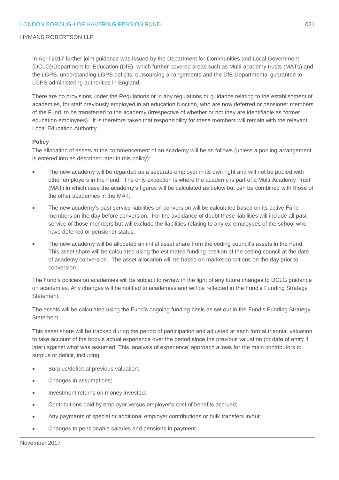In April 2017 further joint guidance was issued by the Department for Communities and Local Government (DCLG)/Department for Education (DfE), which further covered areas such as Multi-academy trusts (MATs) and the LGPS, understanding LGPS deficits, outsourcing arrangements and the DfE Departmental guarantee to LGPS administering authorities in England.

There are no provisions under the Regulations or in any regulations or guidance relating to the establishment of academies, for staff previously employed in an education function, who are now deferred or pensioner members of the Fund, to be transferred to the academy (irrespective of whether or not they are identifiable as former education employees). It is therefore taken that responsibility for these members will remain with the relevant Local Education Authority.

#### **Policy**

The allocation of assets at the commencement of an academy will be as follows (unless a pooling arrangement is entered into as described later in this policy):

- The new academy will be regarded as a separate employer in its own right and will not be pooled with other employers in the Fund. The only exception is where the academy is part of a Multi Academy Trust (MAT) in which case the academy's figures will be calculated as below but can be combined with those of the other academies in the MAT;
- The new academy's past service liabilities on conversion will be calculated based on its active Fund members on the day before conversion. For the avoidance of doubt these liabilities will include all past service of those members but will exclude the liabilities relating to any ex-employees of the school who have deferred or pensioner status;
- The new academy will be allocated an initial asset share from the ceding council's assets in the Fund. This asset share will be calculated using the estimated funding position of the ceding council at the date of academy conversion. The asset allocation will be based on market conditions on the day prior to conversion.

The Fund's policies on academies will be subject to review in the light of any future changes to DCLG guidance on academies. Any changes will be notified to academies and will be reflected in the Fund's Funding Strategy Statement.

The assets will be calculated using the Fund's ongoing funding basis as set out in the Fund's Funding Strategy Statement.

This asset share will be tracked during the period of participation and adjusted at each formal triennial valuation to take account of the body's actual experience over the period since the previous valuation (or date of entry if later) against what was assumed. This 'analysis of experience' approach allows for the main contributors to surplus or deficit, including:

- Surplus/deficit at previous valuation;
- Changes in assumptions;
- Investment returns on money invested;
- Contributions paid by employer versus employer's cost of benefits accrued;
- Any payments of special or additional employer contributions or bulk transfers in/out;
- Changes to pensionable salaries and pensions in payment ;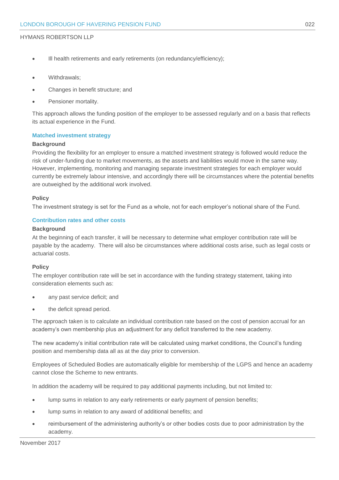- Ill health retirements and early retirements (on redundancy/efficiency);
- Withdrawals:
- Changes in benefit structure; and
- Pensioner mortality.

This approach allows the funding position of the employer to be assessed regularly and on a basis that reflects its actual experience in the Fund.

#### **Matched investment strategy**

#### **Background**

Providing the flexibility for an employer to ensure a matched investment strategy is followed would reduce the risk of under-funding due to market movements, as the assets and liabilities would move in the same way. However, implementing, monitoring and managing separate investment strategies for each employer would currently be extremely labour intensive, and accordingly there will be circumstances where the potential benefits are outweighed by the additional work involved.

#### **Policy**

The investment strategy is set for the Fund as a whole, not for each employer's notional share of the Fund.

#### **Contribution rates and other costs**

#### **Background**

At the beginning of each transfer, it will be necessary to determine what employer contribution rate will be payable by the academy. There will also be circumstances where additional costs arise, such as legal costs or actuarial costs.

#### **Policy**

The employer contribution rate will be set in accordance with the funding strategy statement, taking into consideration elements such as:

- any past service deficit; and
- the deficit spread period.

The approach taken is to calculate an individual contribution rate based on the cost of pension accrual for an academy's own membership plus an adjustment for any deficit transferred to the new academy.

The new academy's initial contribution rate will be calculated using market conditions, the Council's funding position and membership data all as at the day prior to conversion.

Employees of Scheduled Bodies are automatically eligible for membership of the LGPS and hence an academy cannot close the Scheme to new entrants.

In addition the academy will be required to pay additional payments including, but not limited to:

- lump sums in relation to any early retirements or early payment of pension benefits;
- lump sums in relation to any award of additional benefits; and
- reimbursement of the administering authority's or other bodies costs due to poor administration by the academy.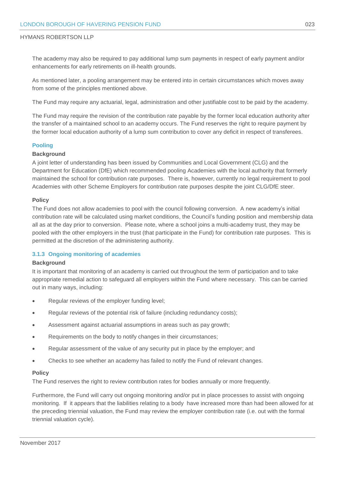The academy may also be required to pay additional lump sum payments in respect of early payment and/or enhancements for early retirements on ill-health grounds.

As mentioned later, a pooling arrangement may be entered into in certain circumstances which moves away from some of the principles mentioned above.

The Fund may require any actuarial, legal, administration and other justifiable cost to be paid by the academy.

The Fund may require the revision of the contribution rate payable by the former local education authority after the transfer of a maintained school to an academy occurs. The Fund reserves the right to require payment by the former local education authority of a lump sum contribution to cover any deficit in respect of transferees.

#### **Pooling**

#### **Background**

A joint letter of understanding has been issued by Communities and Local Government (CLG) and the Department for Education (DfE) which recommended pooling Academies with the local authority that formerly maintained the school for contribution rate purposes. There is, however, currently no legal requirement to pool Academies with other Scheme Employers for contribution rate purposes despite the joint CLG/DfE steer.

#### **Policy**

The Fund does not allow academies to pool with the council following conversion. A new academy's initial contribution rate will be calculated using market conditions, the Council's funding position and membership data all as at the day prior to conversion. Please note, where a school joins a multi-academy trust, they may be pooled with the other employers in the trust (that participate in the Fund) for contribution rate purposes. This is permitted at the discretion of the administering authority.

#### **3.1.3 Ongoing monitoring of academies**

#### **Background**

It is important that monitoring of an academy is carried out throughout the term of participation and to take appropriate remedial action to safeguard all employers within the Fund where necessary. This can be carried out in many ways, including:

- Regular reviews of the employer funding level;
- Regular reviews of the potential risk of failure (including redundancy costs);
- Assessment against actuarial assumptions in areas such as pay growth;
- Requirements on the body to notify changes in their circumstances;
- Regular assessment of the value of any security put in place by the employer; and
- Checks to see whether an academy has failed to notify the Fund of relevant changes.

#### **Policy**

The Fund reserves the right to review contribution rates for bodies annually or more frequently.

Furthermore, the Fund will carry out ongoing monitoring and/or put in place processes to assist with ongoing monitoring. If it appears that the liabilities relating to a body have increased more than had been allowed for at the preceding triennial valuation, the Fund may review the employer contribution rate (i.e. out with the formal triennial valuation cycle).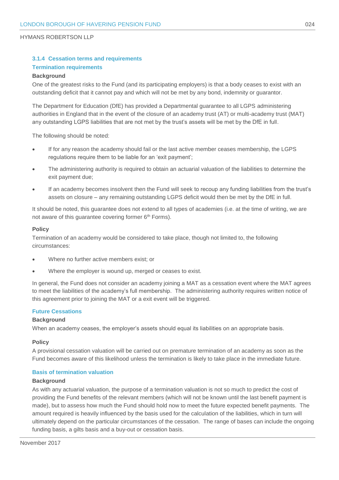#### **3.1.4 Cessation terms and requirements Termination requirements**

#### **Background**

One of the greatest risks to the Fund (and its participating employers) is that a body ceases to exist with an outstanding deficit that it cannot pay and which will not be met by any bond, indemnity or guarantor.

The Department for Education (DfE) has provided a Departmental guarantee to all LGPS administering authorities in England that in the event of the closure of an academy trust (AT) or multi-academy trust (MAT) any outstanding LGPS liabilities that are not met by the trust's assets will be met by the DfE in full.

The following should be noted:

- If for any reason the academy should fail or the last active member ceases membership, the LGPS regulations require them to be liable for an 'exit payment';
- The administering authority is required to obtain an actuarial valuation of the liabilities to determine the exit payment due;
- If an academy becomes insolvent then the Fund will seek to recoup any funding liabilities from the trust's assets on closure – any remaining outstanding LGPS deficit would then be met by the DfE in full.

It should be noted, this guarantee does not extend to all types of academies (i.e. at the time of writing, we are not aware of this guarantee covering former 6<sup>th</sup> Forms).

#### **Policy**

Termination of an academy would be considered to take place, though not limited to, the following circumstances:

- Where no further active members exist; or
- Where the employer is wound up, merged or ceases to exist.

In general, the Fund does not consider an academy joining a MAT as a cessation event where the MAT agrees to meet the liabilities of the academy's full membership. The administering authority requires written notice of this agreement prior to joining the MAT or a exit event will be triggered.

#### **Future Cessations**

#### **Background**

When an academy ceases, the employer's assets should equal its liabilities on an appropriate basis.

#### **Policy**

A provisional cessation valuation will be carried out on premature termination of an academy as soon as the Fund becomes aware of this likelihood unless the termination is likely to take place in the immediate future.

#### **Basis of termination valuation**

#### **Background**

As with any actuarial valuation, the purpose of a termination valuation is not so much to predict the cost of providing the Fund benefits of the relevant members (which will not be known until the last benefit payment is made), but to assess how much the Fund should hold now to meet the future expected benefit payments. The amount required is heavily influenced by the basis used for the calculation of the liabilities, which in turn will ultimately depend on the particular circumstances of the cessation. The range of bases can include the ongoing funding basis, a gilts basis and a buy-out or cessation basis.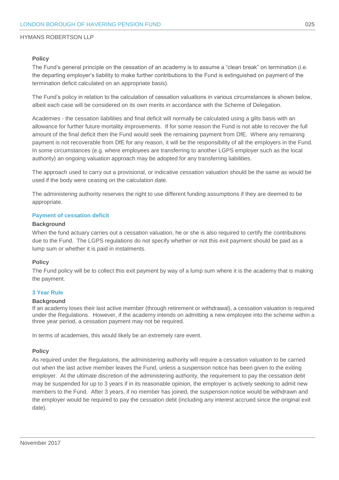#### **Policy**

The Fund's general principle on the cessation of an academy is to assume a "clean break" on termination (i.e. the departing employer's liability to make further contributions to the Fund is extinguished on payment of the termination deficit calculated on an appropriate basis).

The Fund's policy in relation to the calculation of cessation valuations in various circumstances is shown below, albeit each case will be considered on its own merits in accordance with the Scheme of Delegation.

Academies - the cessation liabilities and final deficit will normally be calculated using a gilts basis with an allowance for further future mortality improvements. If for some reason the Fund is not able to recover the full amount of the final deficit then the Fund would seek the remaining payment from DfE. Where any remaining payment is not recoverable from DfE for any reason, it will be the responsibility of all the employers in the Fund. In some circumstances (e.g. where employees are transferring to another LGPS employer such as the local authority) an ongoing valuation approach may be adopted for any transferring liabilities.

The approach used to carry out a provisional, or indicative cessation valuation should be the same as would be used if the body were ceasing on the calculation date.

The administering authority reserves the right to use different funding assumptions if they are deemed to be appropriate.

#### **Payment of cessation deficit**

#### **Background**

When the fund actuary carries out a cessation valuation, he or she is also required to certify the contributions due to the Fund. The LGPS regulations do not specify whether or not this exit payment should be paid as a lump sum or whether it is paid in instalments.

#### **Policy**

The Fund policy will be to collect this exit payment by way of a lump sum where it is the academy that is making the payment.

#### **3 Year Rule**

#### **Background**

If an academy loses their last active member (through retirement or withdrawal), a cessation valuation is required under the Regulations. However, if the academy intends on admitting a new employee into the scheme within a three year period, a cessation payment may not be required.

In terms of academies, this would likely be an extremely rare event.

#### **Policy**

As required under the Regulations, the administering authority will require a cessation valuation to be carried out when the last active member leaves the Fund, unless a suspension notice has been given to the exiting employer. At the ultimate discretion of the administering authority, the requirement to pay the cessation debt may be suspended for up to 3 years if in its reasonable opinion, the employer is actively seeking to admit new members to the Fund. After 3 years, if no member has joined, the suspension notice would be withdrawn and the employer would be required to pay the cessation debt (including any interest accrued since the original exit date).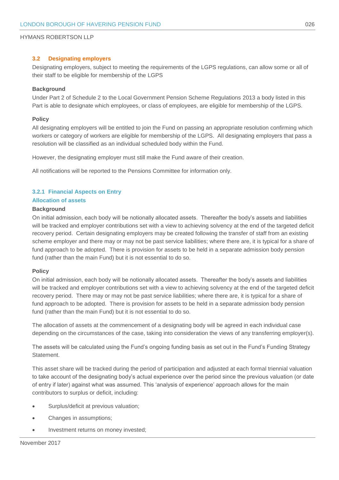#### **3.2 Designating employers**

Designating employers, subject to meeting the requirements of the LGPS regulations, can allow some or all of their staff to be eligible for membership of the LGPS

#### **Background**

Under Part 2 of Schedule 2 to the Local Government Pension Scheme Regulations 2013 a body listed in this Part is able to designate which employees, or class of employees, are eligible for membership of the LGPS.

#### **Policy**

All designating employers will be entitled to join the Fund on passing an appropriate resolution confirming which workers or category of workers are eligible for membership of the LGPS. All designating employers that pass a resolution will be classified as an individual scheduled body within the Fund.

However, the designating employer must still make the Fund aware of their creation.

All notifications will be reported to the Pensions Committee for information only.

#### **3.2.1 Financial Aspects on Entry**

#### **Allocation of assets**

#### **Background**

On initial admission, each body will be notionally allocated assets. Thereafter the body's assets and liabilities will be tracked and employer contributions set with a view to achieving solvency at the end of the targeted deficit recovery period. Certain designating employers may be created following the transfer of staff from an existing scheme employer and there may or may not be past service liabilities; where there are, it is typical for a share of fund approach to be adopted. There is provision for assets to be held in a separate admission body pension fund (rather than the main Fund) but it is not essential to do so.

#### **Policy**

On initial admission, each body will be notionally allocated assets. Thereafter the body's assets and liabilities will be tracked and employer contributions set with a view to achieving solvency at the end of the targeted deficit recovery period. There may or may not be past service liabilities; where there are, it is typical for a share of fund approach to be adopted. There is provision for assets to be held in a separate admission body pension fund (rather than the main Fund) but it is not essential to do so.

The allocation of assets at the commencement of a designating body will be agreed in each individual case depending on the circumstances of the case, taking into consideration the views of any transferring employer(s).

The assets will be calculated using the Fund's ongoing funding basis as set out in the Fund's Funding Strategy Statement.

This asset share will be tracked during the period of participation and adjusted at each formal triennial valuation to take account of the designating body's actual experience over the period since the previous valuation (or date of entry if later) against what was assumed. This 'analysis of experience' approach allows for the main contributors to surplus or deficit, including:

- Surplus/deficit at previous valuation;
- Changes in assumptions;
- Investment returns on money invested;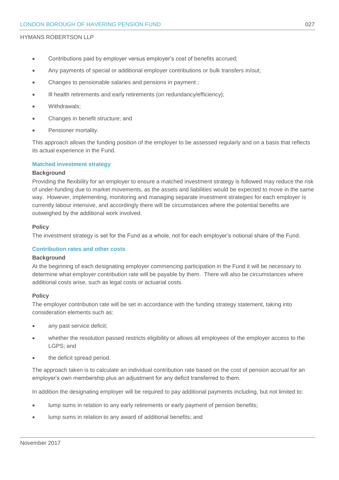- Contributions paid by employer versus employer's cost of benefits accrued;
- Any payments of special or additional employer contributions or bulk transfers in/out;
- Changes to pensionable salaries and pensions in payment ;
- Ill health retirements and early retirements (on redundancy/efficiency);
- Withdrawals;
- Changes in benefit structure; and
- Pensioner mortality.

This approach allows the funding position of the employer to be assessed regularly and on a basis that reflects its actual experience in the Fund.

#### **Matched investment strategy**

#### **Background**

Providing the flexibility for an employer to ensure a matched investment strategy is followed may reduce the risk of under-funding due to market movements, as the assets and liabilities would be expected to move in the same way. However, implementing, monitoring and managing separate investment strategies for each employer is currently labour intensive, and accordingly there will be circumstances where the potential benefits are outweighed by the additional work involved.

#### **Policy**

The investment strategy is set for the Fund as a whole, not for each employer's notional share of the Fund.

#### **Contribution rates and other costs**

#### **Background**

At the beginning of each designating employer commencing participation in the Fund it will be necessary to determine what employer contribution rate will be payable by them. There will also be circumstances where additional costs arise, such as legal costs or actuarial costs.

#### **Policy**

The employer contribution rate will be set in accordance with the funding strategy statement, taking into consideration elements such as:

- any past service deficit;
- whether the resolution passed restricts eligibility or allows all employees of the employer access to the LGPS; and
- the deficit spread period.

The approach taken is to calculate an individual contribution rate based on the cost of pension accrual for an employer's own membership plus an adjustment for any deficit transferred to them.

In addition the designating employer will be required to pay additional payments including, but not limited to:

- lump sums in relation to any early retirements or early payment of pension benefits;
- lump sums in relation to any award of additional benefits; and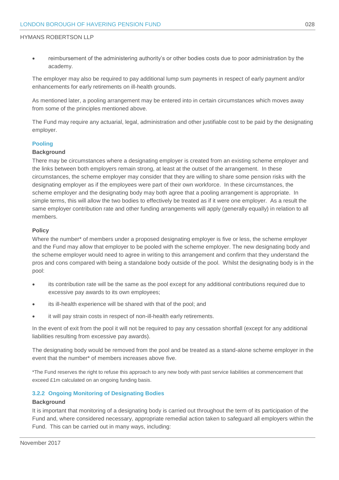reimbursement of the administering authority's or other bodies costs due to poor administration by the academy.

The employer may also be required to pay additional lump sum payments in respect of early payment and/or enhancements for early retirements on ill-health grounds.

As mentioned later, a pooling arrangement may be entered into in certain circumstances which moves away from some of the principles mentioned above.

The Fund may require any actuarial, legal, administration and other justifiable cost to be paid by the designating employer.

#### **Pooling**

#### **Background**

There may be circumstances where a designating employer is created from an existing scheme employer and the links between both employers remain strong, at least at the outset of the arrangement. In these circumstances, the scheme employer may consider that they are willing to share some pension risks with the designating employer as if the employees were part of their own workforce. In these circumstances, the scheme employer and the designating body may both agree that a pooling arrangement is appropriate. In simple terms, this will allow the two bodies to effectively be treated as if it were one employer. As a result the same employer contribution rate and other funding arrangements will apply (generally equally) in relation to all members.

#### **Policy**

Where the number\* of members under a proposed designating employer is five or less, the scheme employer and the Fund may allow that employer to be pooled with the scheme employer. The new designating body and the scheme employer would need to agree in writing to this arrangement and confirm that they understand the pros and cons compared with being a standalone body outside of the pool. Whilst the designating body is in the pool:

- its contribution rate will be the same as the pool except for any additional contributions required due to excessive pay awards to its own employees;
- its ill-health experience will be shared with that of the pool; and
- it will pay strain costs in respect of non-ill-health early retirements.

In the event of exit from the pool it will not be required to pay any cessation shortfall (except for any additional liabilities resulting from excessive pay awards).

The designating body would be removed from the pool and be treated as a stand-alone scheme employer in the event that the number\* of members increases above five.

\*The Fund reserves the right to refuse this approach to any new body with past service liabilities at commencement that exceed £1m calculated on an ongoing funding basis.

#### **3.2.2 Ongoing Monitoring of Designating Bodies**

#### **Background**

It is important that monitoring of a designating body is carried out throughout the term of its participation of the Fund and, where considered necessary, appropriate remedial action taken to safeguard all employers within the Fund. This can be carried out in many ways, including: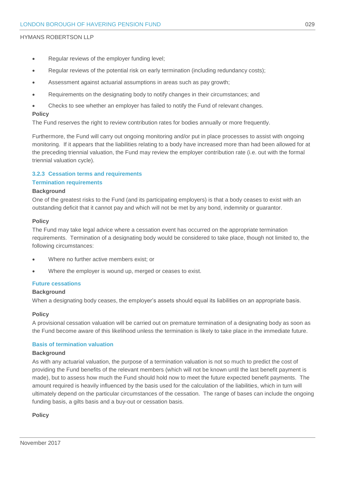- Regular reviews of the employer funding level;
- Regular reviews of the potential risk on early termination (including redundancy costs);
- Assessment against actuarial assumptions in areas such as pay growth;
- Requirements on the designating body to notify changes in their circumstances; and
- Checks to see whether an employer has failed to notify the Fund of relevant changes.

#### **Policy**

The Fund reserves the right to review contribution rates for bodies annually or more frequently.

Furthermore, the Fund will carry out ongoing monitoring and/or put in place processes to assist with ongoing monitoring. If it appears that the liabilities relating to a body have increased more than had been allowed for at the preceding triennial valuation, the Fund may review the employer contribution rate (i.e. out with the formal triennial valuation cycle).

#### **3.2.3 Cessation terms and requirements Termination requirements**

#### **Background**

One of the greatest risks to the Fund (and its participating employers) is that a body ceases to exist with an outstanding deficit that it cannot pay and which will not be met by any bond, indemnity or guarantor.

#### **Policy**

The Fund may take legal advice where a cessation event has occurred on the appropriate termination requirements. Termination of a designating body would be considered to take place, though not limited to, the following circumstances:

- Where no further active members exist; or
- Where the employer is wound up, merged or ceases to exist.

#### **Future cessations**

#### **Background**

When a designating body ceases, the employer's assets should equal its liabilities on an appropriate basis.

#### **Policy**

A provisional cessation valuation will be carried out on premature termination of a designating body as soon as the Fund become aware of this likelihood unless the termination is likely to take place in the immediate future.

#### **Basis of termination valuation**

#### **Background**

As with any actuarial valuation, the purpose of a termination valuation is not so much to predict the cost of providing the Fund benefits of the relevant members (which will not be known until the last benefit payment is made), but to assess how much the Fund should hold now to meet the future expected benefit payments. The amount required is heavily influenced by the basis used for the calculation of the liabilities, which in turn will ultimately depend on the particular circumstances of the cessation. The range of bases can include the ongoing funding basis, a gilts basis and a buy-out or cessation basis.

#### **Policy**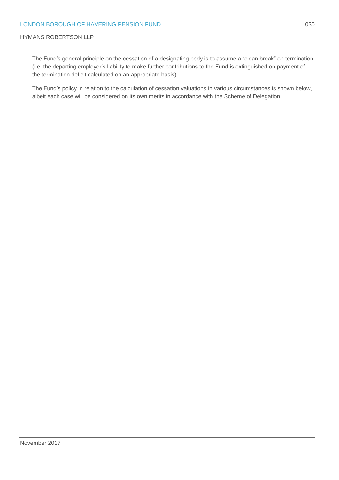The Fund's general principle on the cessation of a designating body is to assume a "clean break" on termination (i.e. the departing employer's liability to make further contributions to the Fund is extinguished on payment of the termination deficit calculated on an appropriate basis).

The Fund's policy in relation to the calculation of cessation valuations in various circumstances is shown below, albeit each case will be considered on its own merits in accordance with the Scheme of Delegation.